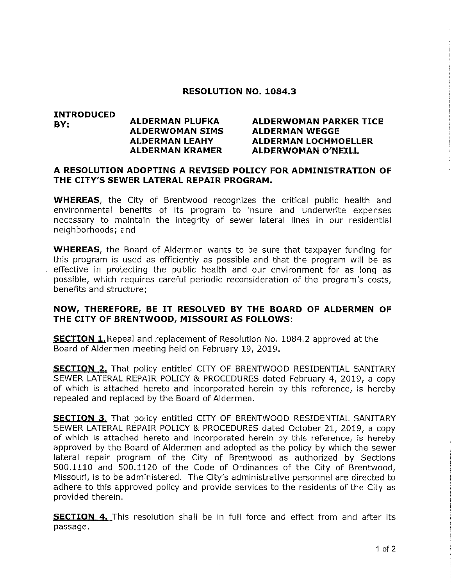## RESOLUTION NO. 1084.3

## INTRODUCED BY: ALDERMAN PLUFKA ALDERWOMAN PARKER TICE ALDERWOMAN SIMS ALDERMAN WEGGE ALDERMAN LEAHY ALDERMAN LOCHMOELLER ALDERMAN KRAMER ALDERWOMAN O'NEILL

## A RESOLUTION ADOPTING A REVISED POLICY FOR ADMINISTRATION OF THE CITY'S SEWER LATERAL REPAIR PROGRAM.

**WHEREAS**, the City of Brentwood recognizes the critical public health and environ mentai benefits of its program to insure and underwrite expenses necessary to maintain the integrity of sewer lateral lines in our residential neighborhoods; and

WHEREAS, the Board of Aldermen wants to be sure that taxpayer funding for this program is used as efficiently as possible and that the program will be as effective in protecting the public health and our environment for as iong as possible, which requires careful periodic reconsideration of the program's costs, benefits and structure;

## NOW, THEREFORE/ BE IT RESOLVED BY THE BOARD OF ALDERMEN OF THE CITY OF BRENTWOOD, MISSOURI AS FOLLOWS:

**SECTION 1.** Repeal and replacement of Resolution No. 1084.2 approved at the Board of Aldermen meeting held on February 19, 2019.

**SECTION 2.** That policy entitled CITY OF BRENTWOOD RESIDENTIAL SANITARY SEWER LATERAL REPAIR POLICY & PROCEDURES dated February 4/ 2019, a copy of which is attached hereto and incorporated herein by this reference, is hereby repealed and replaced by the Board of Aldermen.

**SECTION 3.** That policy entitled CITY OF BRENTWOOD RESIDENTIAL SANITARY SEWER LATERAL REPAIR POLICY & PROCEDURES dated October 21, 2019, a copy of which is attached hereto and incorporated herein by this reference, is hereby approved by the Board of Aidermen and adopted as the policy by which the sewer lateral repair program of the City of Brentwood as authorized by Sections 500.1110 and 500.1120 of the Code of Ordinances of the City of Brentwood, Missouri, is to be administered. The City's administrative personnel are directed to adhere to this approved policy and provide services to the residents of the City as provided therein.

**SECTION 4.** This resolution shall be in full force and effect from and after its passage.